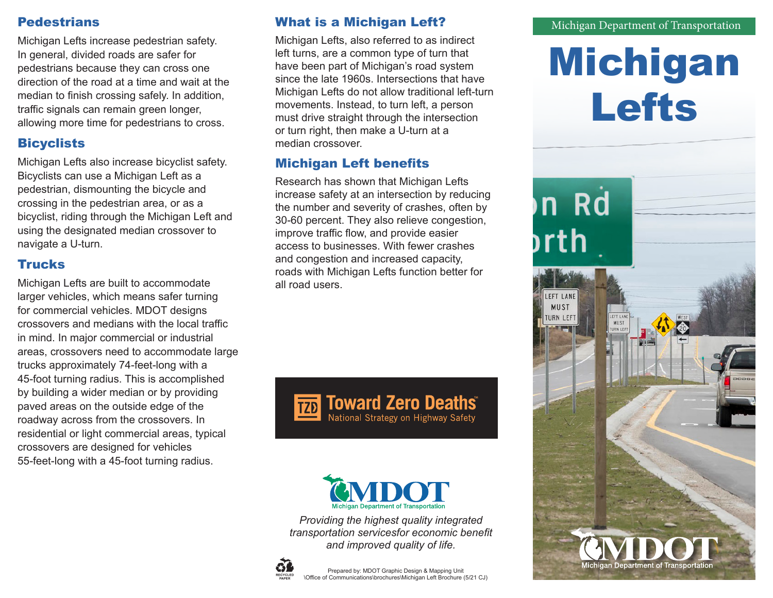#### **Pedestrians**

Michigan Lefts increase pedestrian safety. In general, divided roads are safer for pedestrians because they can cross one direction of the road at a time and wait at the median to finish crossing safely. In addition, traffic signals can remain green longer, allowing more time for pedestrians to cross.

# **Bicyclists**

Michigan Lefts also increase bicyclist safety. Bicyclists can use a Michigan Left as a pedestrian, dismounting the bicycle and crossing in the pedestrian area, or as a bicyclist, riding through the Michigan Left and using the designated median crossover to navigate a U-turn.

## **Trucks**

Michigan Lefts are built to accommodate larger vehicles, which means safer turning for commercial vehicles. MDOT designs crossovers and medians with the local traffic in mind. In major commercial or industrial areas, crossovers need to accommodate large trucks approximately 74-feet-long with a 45-foot turning radius. This is accomplished by building a wider median or by providing paved areas on the outside edge of the roadway across from the crossovers. In residential or light commercial areas, typical crossovers are designed for vehicles 55-feet-long with a 45-foot turning radius.

## What is a Michigan Left?

Michigan Lefts, also referred to as indirect left turns, are a common type of turn that have been part of Michigan's road system since the late 1960s. Intersections that have Michigan Lefts do not allow traditional left-turn movements. Instead, to turn left, a person must drive straight through the intersection or turn right, then make a U-turn at a median crossover.

# Michigan Left benefits

Research has shown that Michigan Lefts increase safety at an intersection by reducing the number and severity of crashes, often by 30-60 percent. They also relieve congestion, improve traffic flow, and provide easier access to businesses. With fewer crashes and congestion and increased capacity, roads with Michigan Lefts function better for all road users.





*Providing the highest quality integrated transportation servicesfor economic benefit and improved quality of life.*





#### Michigan Department of Transportation

# Michigan Lefts